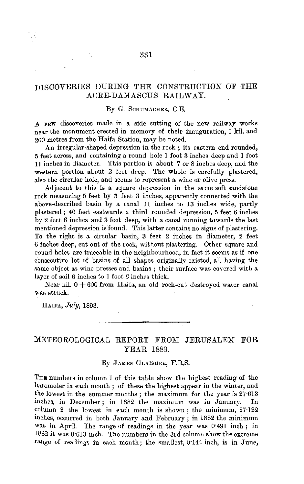## DISCOVEHIES DURING THE CONSTRUCTION OF THE ACRE-DAMASCUS RAILWAY.

#### By G. SCHUMACHER, C.E.

A FEW discoveries made in a side cutting of the new milway works near the monument erected in memory of their inauguration, I kil. and· 200 metres from the Haifa Station, may be noted.

An irregular-shaped depression in the rock ; its eastern end rounded, 5 feet across, and containing a round hole 1 foot 3 inches deep and 1 foot 11 inches in diameter. This portion is about 7 or 8 inches deep, and the western portion about 2 feet deep. The whole is carefully plastered, also the circular hole, and seems to represent a wine or olive press.

Adjacent to this is a square depression in the same soft sandstone rock measuring 5 feet by 3 feet 3 inches, apparently connected with the above-described basin by a canal 11 inches to 13 inches wide, partly plastered ; 40 feet eastwards a third rounded depression, 5 feet 6 inches by 2 feet 6 inches and 3 feet deep, with a canal running towards the last mentioned depression is found. This latter contains no signs of plastering. To the right is a circular basin, 3 feet 2 inches in diameter, 2 feet 6 inches deep, cut out of the rock, without plastering. Other square and round holes are traceable in the neighbourhood, in fact it seems as if one consecutive lot of basins of all shapes originally existed, all having the same object as wine presses and basins ; their surface was covered with a layer of soil 6 inches to 1 foot *6* inches thick.

Near kil.  $0 + 600$  from Haifa, an old rock-cut destroyed water canal was struck.

HAIFA, *July,* 1893.

### METEOROLOGICAL REPORT FROM JERUSALEM FOR YEAR 1883.

#### By JAMES GLAISHER, F.R.S.

THE numbers in column 1 of this table show the highest reading of the barometer in each month ; of these the highest appear in the winter, and the lowest in the summer months ; the maximum for the year is 27·613 inches, in December; in 1882 the maximum was in January. In column 2 the lowest in each month is shown ; the minimum, 27·122 inches, occurred in both January and February; in 1882 the minimum was in April. The range of readings in the year was 0'491 inch; in 1882 it was 0·613 inch. The numbers in the 3rd column show the extreme range of readings in each month; the smallest, 0.144 inch, is in June,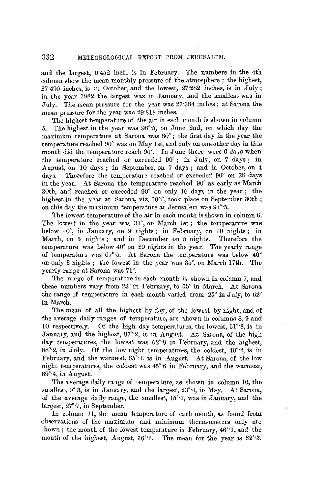and the largest, o·452 inch, is in February. The numbers in the 4th column show the mean monthly pressure of the atmosphere ; the highest, 27·490 inches, is in October, and the lowest, 27·282 inches, is in July; in the year 1882 the largest was in January, and the smallest was in July. The mean pressure for the year was 27·384 inches; at Sarona the mean pressure for the year was 29"818 inches.

The highest temperature of the air in each month is shown in column 5. The highest in the year was 98°·5, on June 2nd, on which day the maximum temperature at Saroua was 80° ; the first day in the year the temperature reached 90° was on May 1st, and only on one other day in this month did the temperature reach 90°. In June there were 6 days when the temperature reached or exceeded 90° ; in July, on 7 days ; in August, on 10 days; in September, on 7 days; and in October, on 4 days. Therefore the temperature reached or exceeded  $90^{\circ}$  on 36 days in the year. At Sarona the temperature reached 90° as early as March 30th, and reached or exceeded 90° on only 16 days in the year ; the highest in the year at Sarona, viz. 106°, took place on September 30th; on this day the maximum temperature at Jerusalem was 94°·5.

The lowest temperature of the air in each month is shown in column 6. The lowest in the year was 31°, on March 1st; the temperature was below 40°, in January, on 9 nights; in February, on 10 nights; in March, on 5 nights ; and in December on 5 nights. Therefore the temperature was below 40° on 29 nights in the year. The yearly range of temperature was 67'·5. At Sarona the temperature was below 40° on only 2 nights; the lowest in the year was 35°, on March 17th. The yearly range at Sarona was 71 °.

The range of temperature in each month is shown in column 7, and these numbers vary from 23° in February, to 55° in March. At Sarona the range of temperature in each month varied from  $25^{\circ}$  in July, to  $62^{\circ}$ in March.

The mean of all the highest by day, of the lowest by night, and of the average daily ranges of temperature, are shown in columns 8, 9 and 10 respectively. Of the high day temperatures, the lowest, 51°·8, is in January, and the highest, 87°2, is in August. At Sarona, of the high day temperatures, the lowest was 62°'8 in February, and the highest, 88°·2, in July. Of the low night temperatures, the coldest, 40°·2, is in February, and the warmest, 65°·1, is in August. At Sarona, of the low night temperatures, the coldest was  $45^{\circ}6$  in February, and the warmest, 69°·4, in August.

The average daily range of temperature, as shown in column 10, the smallest,  $9°3$ , is in January, and the largest,  $23°4$ , in May. At Sarona, of the average daily range, the smallest, 15°·7, was in January, and the largest, 27°·7, in September.

In column 11, the mean temperature of each month, as found from observations of the maximum and minimum. thermometers only are hown; the month of the lowest temperature is February, 46°·1, and the month of the highest, August,  $76^{\circ}$ 1. The mean for the year is  $62^{\circ}$ 3.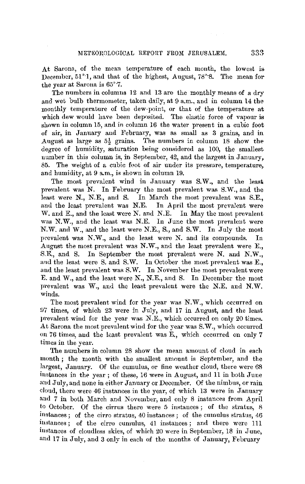At Sarona, of the mean temperature of each month, the lowest is December, 51<sup>°</sup>·1, and that of the highest, August, 78<sup>°</sup>·8. The mean for the year at Barona is 65°·7.

The numbers in columns 12 and 13 are the monthly means of a dry and wet bulb thermometer, taken daily, at 9 a.m., and in column 14 the monthly temperature of the dew-point, or that of the temperature at which dew would have been deposited. The elastic force of vapour is shown in column 15, and in column 16 the water present in a cubic foot of air, in January and February, was as small as 3 grains, and in August as large as  $5\frac{1}{2}$  grains. The numbers in column 18 show the degree of humidity, saturation being considered as 100, the smallest number in this column is, in September, 42, and the largest in January, 85. The weight of a cubic foot of air under its pressure, temperature, and humidity, at 9 a.m., is shown in column 19.

The most prevalent wind in January was S.W., and the least prevalent was N. In February the most prevalent was S.W., and the least were N., N.E., and S. In March the most prevalent was S.E., and the least prevalent was N.E. In April the most prevalent were and the least prevalent was N.E. W. and E., and the least were N. and N.E. In May the most prevalent was N.W., and the least was N.E. In June the most prevalent were N.W. and W., and the least were N.E., S., and S.W. In July the most prevalent was **N.W.,** and the least were N. and its compounds. In August the most prevalent was **N.W.,** and the least prevalent were E., S.E., and S. In September the most prevalent were N. and **N.W.,**  and the least were S. and S.W. In October the most prevalent was E., and the least prevalent was S.W. In November the most prevalent were E. and W., and the least were N., N.E., and S. In December the most prevalent was W., and the least prevalent were the N.E. and N.W. winds.

The most prevalent wind for the year was N.W., which occurred on D7 times, of which 23 were in July, and 17 in August, and the least prevalent wind for the year was N.E., which occurred on only 20 times. At Sarona the most prevalent wind for the year was S. W., which occurred on 76 times, and the least prevalent was E., which occurred on only 7 times in the year.

The numbers in column 28 show the mean amount of cloud in each month ; the month with the smallest amount is September, and the largest, January. Of the cumulus, or fine weather cloud, there were 68 instances in the year ; of these, 16 were in August, and 11 in both June and July, and none in either January or December. Of the nimbus, or rain cloud, there were 46 instances in the year, of which 13 were in January and 7 in both March and November, and only 8 instances from April to October. Of the cirrus there were  $5$  instances; of the stratus,  $8$ instances; of the cirro stratus, 40 instances ; of the cumulus stratus, 46 instances; of the cirro cumulus, 41 instances; and there were 111 instances of cloudless skies, of which 20 were in September, 18 in June, and 17 in July, and 3 only in each of the months of January, February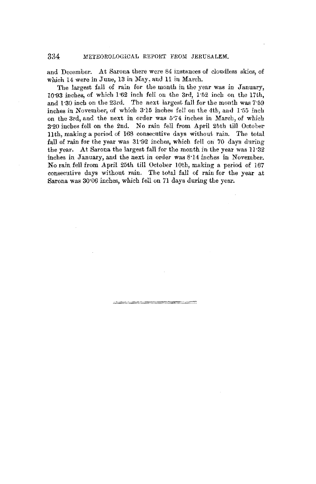#### 334 METEOROLOGICAL REPORT FROM JERUSALEM.

and December. At Sarona there were 84 instances of cloudless skies, of which 14 were in June, 13 in May, and 11 in March.

The largest fall of rain for the month in the year was in January, 10:93 inches, of which  $1.62$  inch fell on the  $3rd$ ,  $1.52$  inch on the  $17th$ . and l ·30 inch on the 23rd. The next largest fall for the month was 7·59 inches in November, of which 3·15 inches fell on the 4th, and I ·55 inch on the 3rd, and the next in order was 5"74 inches in March, of which 3·20 inches fell on the 2nd. No rain fell from April 25th till October llth, making a period of 168 consecutive days without rain. The total fall of rain for the year was  $31.92$  inches, which fell on 70 days during the year. At Sarona the largest fall for the month in the year was 11:32 inches in January, and the next in order was 8.14 inches in November. No rain fell from April 25th till October 10th, making a period of 167 consecutive days without rain. The total fall of rain for the year at Sarona was 30·06 inches, which fell on 71 days during the year.